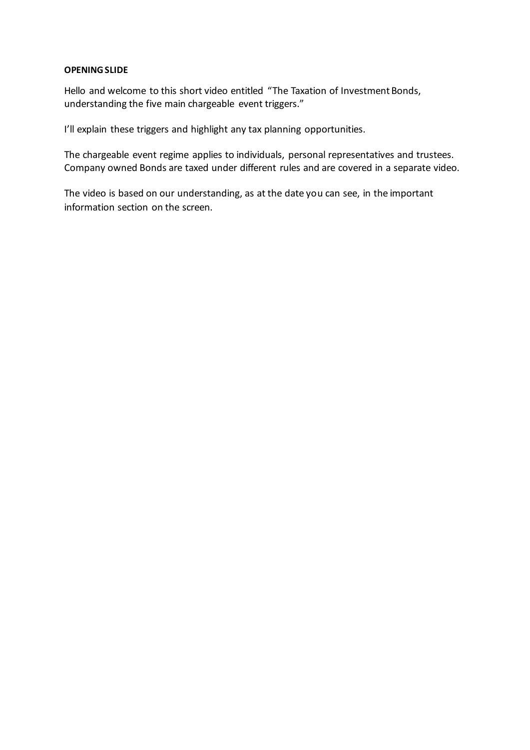#### **OPENING SLIDE**

Hello and welcome to this short video entitled "The Taxation of Investment Bonds, understanding the five main chargeable event triggers."

I'll explain these triggers and highlight any tax planning opportunities.

The chargeable event regime applies to individuals, personal representatives and trustees. Company owned Bonds are taxed under different rules and are covered in a separate video.

The video is based on our understanding, as at the date you can see, in the important information section on the screen.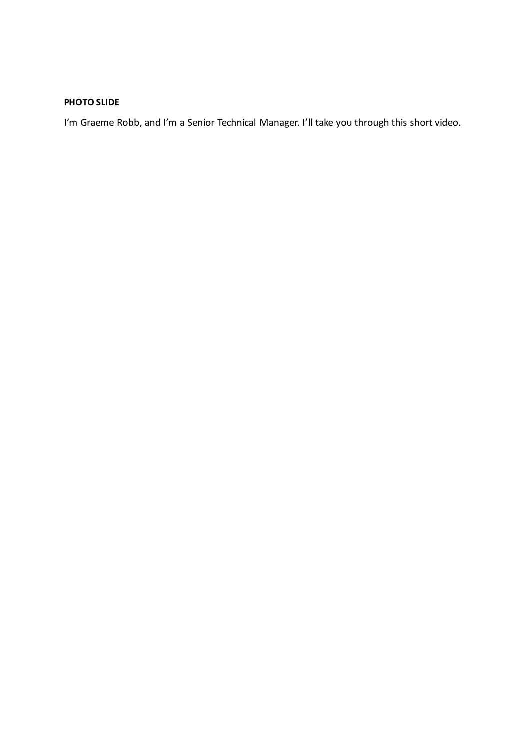# **PHOTO SLIDE**

I'm Graeme Robb, and I'm a Senior Technical Manager. I'll take you through this short video.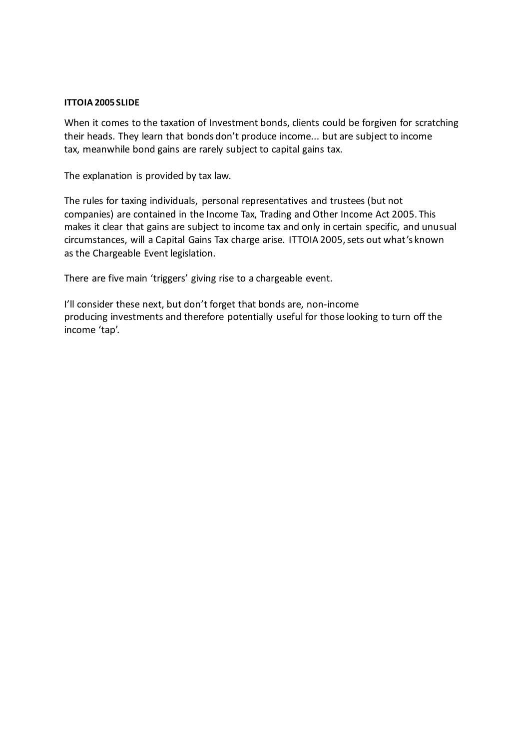#### **ITTOIA 2005 SLIDE**

When it comes to the taxation of Investment bonds, clients could be forgiven for scratching their heads. They learn that bonds don't produce income... but are subject to income tax, meanwhile bond gains are rarely subject to capital gains tax.

The explanation is provided by tax law.

The rules for taxing individuals, personal representatives and trustees (but not companies) are contained in the Income Tax, Trading and Other Income Act 2005. This makes it clear that gains are subject to income tax and only in certain specific, and unusual circumstances, will a Capital Gains Tax charge arise. ITTOIA 2005, sets out what's known as the Chargeable Event legislation.

There are five main 'triggers' giving rise to a chargeable event.

I'll consider these next, but don't forget that bonds are, non-income producing investments and therefore potentially useful for those looking to turn off the income 'tap'.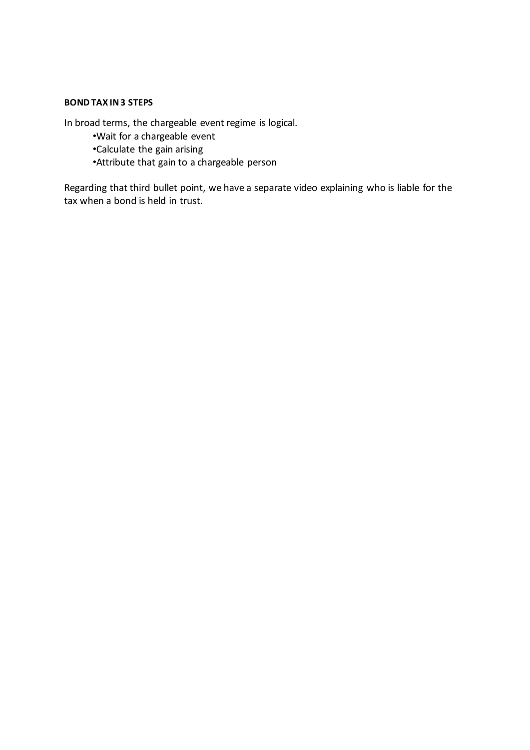# **BOND TAX IN 3 STEPS**

In broad terms, the chargeable event regime is logical.

•Wait for a chargeable event •Calculate the gain arising •Attribute that gain to a chargeable person

Regarding that third bullet point, we have a separate video explaining who is liable for the tax when a bond is held in trust.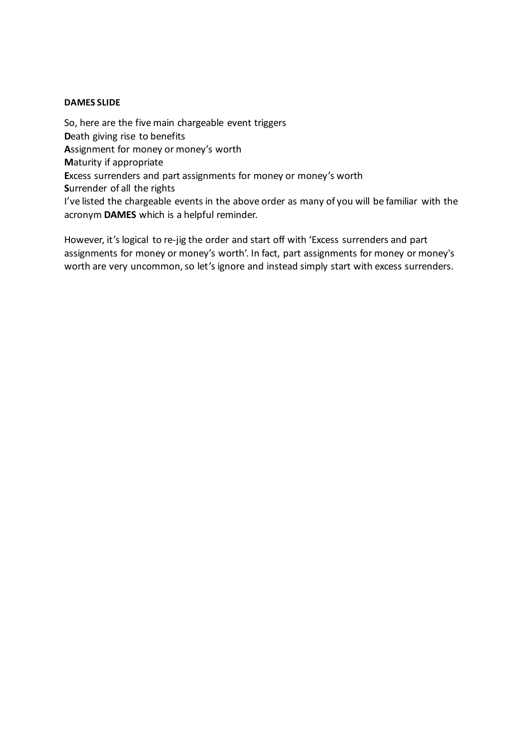# **DAMES SLIDE**

So, here are the five main chargeable event triggers **D**eath giving rise to benefits **A**ssignment for money or money's worth **M**aturity if appropriate **E**xcess surrenders and part assignments for money or money's worth **S**urrender of all the rights I've listed the chargeable events in the above order as many of you will be familiar with the acronym **DAMES** which is a helpful reminder.

However, it's logical to re-jig the order and start off with 'Excess surrenders and part assignments for money or money's worth'. In fact, part assignments for money or money's worth are very uncommon, so let's ignore and instead simply start with excess surrenders.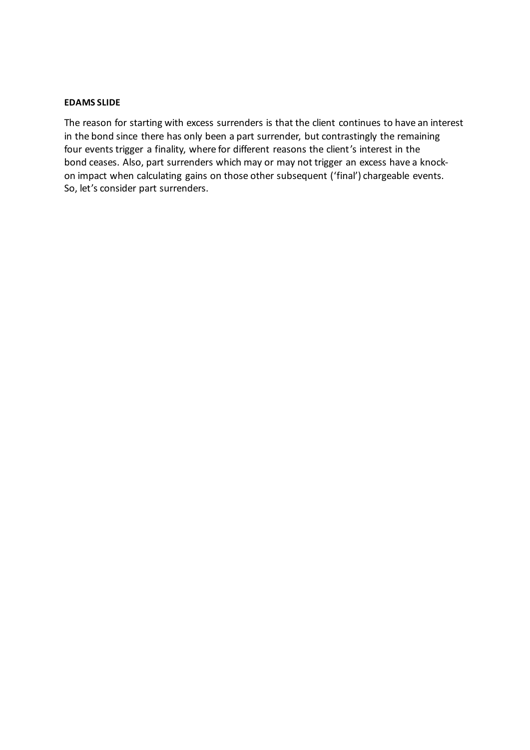### **EDAMS SLIDE**

The reason for starting with excess surrenders is that the client continues to have an interest in the bond since there has only been a part surrender, but contrastingly the remaining four events trigger a finality, where for different reasons the client's interest in the bond ceases. Also, part surrenders which may or may not trigger an excess have a knockon impact when calculating gains on those other subsequent ('final') chargeable events. So, let's consider part surrenders.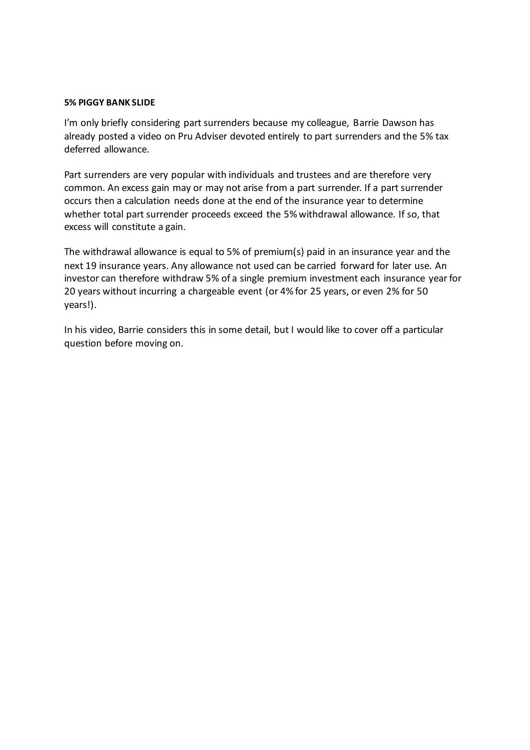#### **5% PIGGY BANK SLIDE**

I'm only briefly considering part surrenders because my colleague, Barrie Dawson has already posted a video on Pru Adviser devoted entirely to part surrenders and the 5% tax deferred allowance.

Part surrenders are very popular with individuals and trustees and are therefore very common. An excess gain may or may not arise from a part surrender. If a part surrender occurs then a calculation needs done at the end of the insurance year to determine whether total part surrender proceeds exceed the 5% withdrawal allowance. If so, that excess will constitute a gain.

The withdrawal allowance is equal to 5% of premium(s) paid in an insurance year and the next 19 insurance years. Any allowance not used can be carried forward for later use. An investor can therefore withdraw 5% of a single premium investment each insurance year for 20 years without incurring a chargeable event (or 4% for 25 years, or even 2% for 50 years!).

In his video, Barrie considers this in some detail, but I would like to cover off a particular question before moving on.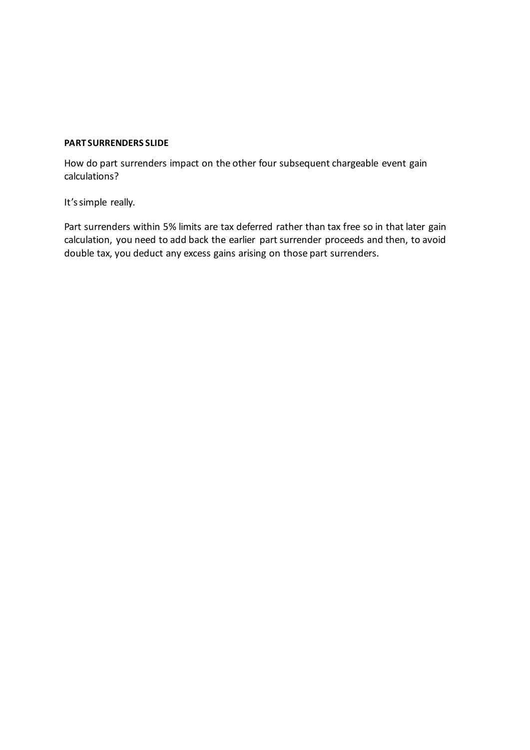# **PART SURRENDERS SLIDE**

How do part surrenders impact on the other four subsequent chargeable event gain calculations?

It's simple really.

Part surrenders within 5% limits are tax deferred rather than tax free so in that later gain calculation, you need to add back the earlier part surrender proceeds and then, to avoid double tax, you deduct any excess gains arising on those part surrenders.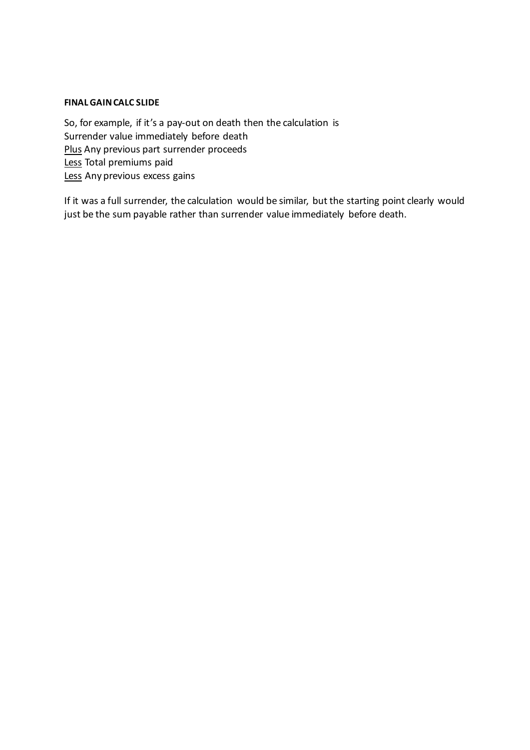# **FINAL GAIN CALC SLIDE**

So, for example, if it's a pay-out on death then the calculation is Surrender value immediately before death Plus Any previous part surrender proceeds Less Total premiums paid Less Any previous excess gains

If it was a full surrender, the calculation would be similar, but the starting point clearly would just be the sum payable rather than surrender value immediately before death.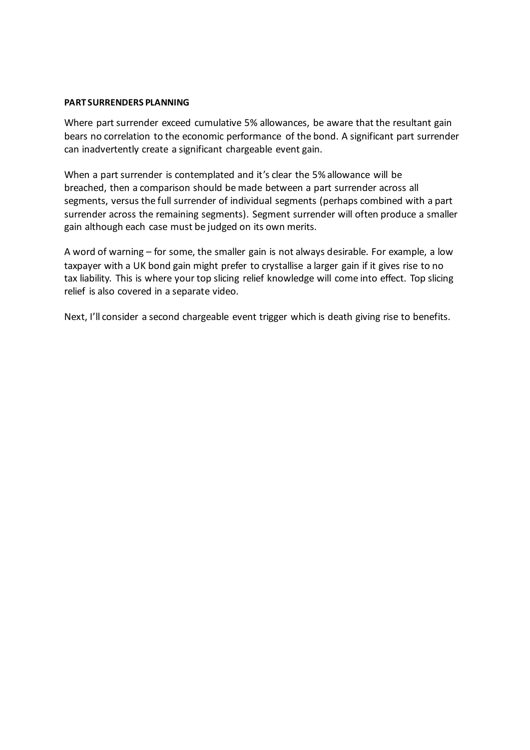#### **PART SURRENDERS PLANNING**

Where part surrender exceed cumulative 5% allowances, be aware that the resultant gain bears no correlation to the economic performance of the bond. A significant part surrender can inadvertently create a significant chargeable event gain.

When a part surrender is contemplated and it's clear the 5% allowance will be breached, then a comparison should be made between a part surrender across all segments, versus the full surrender of individual segments (perhaps combined with a part surrender across the remaining segments). Segment surrender will often produce a smaller gain although each case must be judged on its own merits.

A word of warning – for some, the smaller gain is not always desirable. For example, a low taxpayer with a UK bond gain might prefer to crystallise a larger gain if it gives rise to no tax liability. This is where your top slicing relief knowledge will come into effect. Top slicing relief is also covered in a separate video.

Next, I'll consider a second chargeable event trigger which is death giving rise to benefits.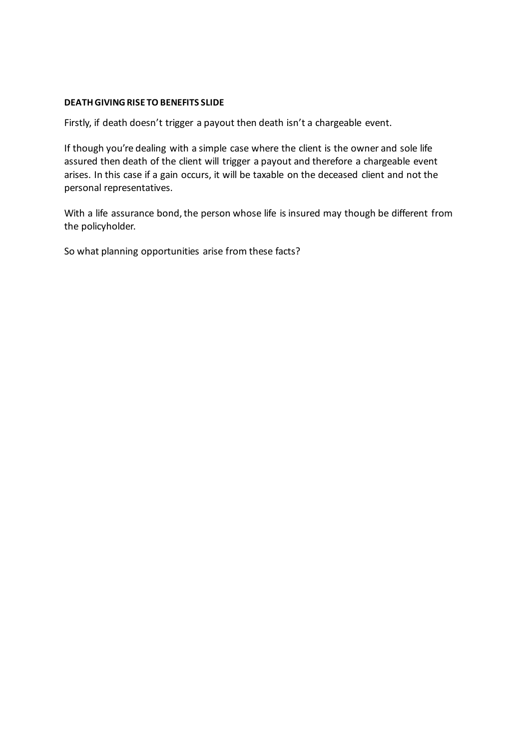### **DEATH GIVING RISE TO BENEFITS SLIDE**

Firstly, if death doesn't trigger a payout then death isn't a chargeable event.

If though you're dealing with a simple case where the client is the owner and sole life assured then death of the client will trigger a payout and therefore a chargeable event arises. In this case if a gain occurs, it will be taxable on the deceased client and not the personal representatives.

With a life assurance bond, the person whose life is insured may though be different from the policyholder.

So what planning opportunities arise from these facts?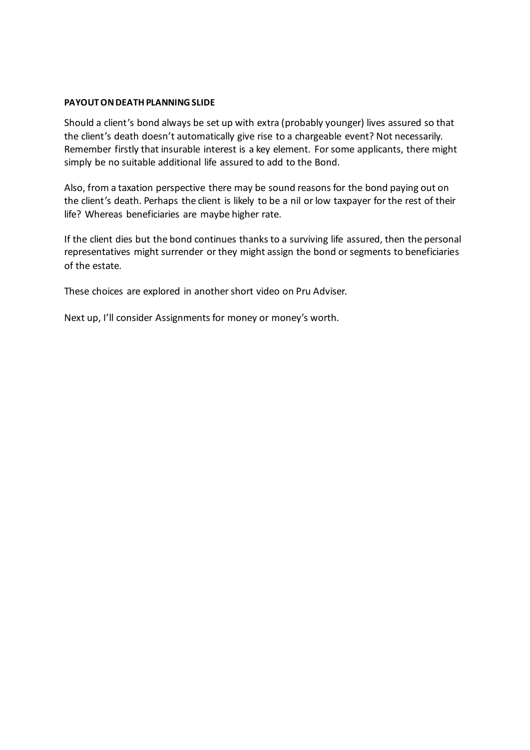### **PAYOUT ON DEATH PLANNING SLIDE**

Should a client's bond always be set up with extra (probably younger) lives assured so that the client's death doesn't automatically give rise to a chargeable event? Not necessarily. Remember firstly that insurable interest is a key element. For some applicants, there might simply be no suitable additional life assured to add to the Bond.

Also, from a taxation perspective there may be sound reasons for the bond paying out on the client's death. Perhaps the client is likely to be a nil or low taxpayer for the rest of their life? Whereas beneficiaries are maybe higher rate.

If the client dies but the bond continues thanks to a surviving life assured, then the personal representatives might surrender or they might assign the bond or segments to beneficiaries of the estate.

These choices are explored in another short video on Pru Adviser.

Next up, I'll consider Assignments for money or money's worth.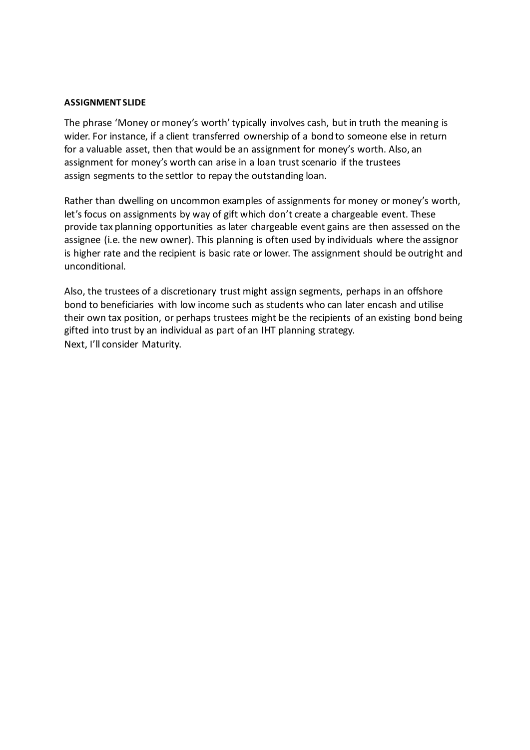### **ASSIGNMENT SLIDE**

The phrase 'Money or money's worth'typically involves cash, but in truth the meaning is wider. For instance, if a client transferred ownership of a bond to someone else in return for a valuable asset, then that would be an assignment for money's worth. Also, an assignment for money's worth can arise in a loan trust scenario if the trustees assign segments to the settlor to repay the outstanding loan.

Rather than dwelling on uncommon examples of assignments for money or money's worth, let's focus on assignments by way of gift which don't create a chargeable event. These provide tax planning opportunities as later chargeable event gains are then assessed on the assignee (i.e. the new owner). This planning is often used by individuals where the assignor is higher rate and the recipient is basic rate or lower. The assignment should be outright and unconditional.

Also, the trustees of a discretionary trust might assign segments, perhaps in an offshore bond to beneficiaries with low income such as students who can later encash and utilise their own tax position, or perhaps trustees might be the recipients of an existing bond being gifted into trust by an individual as part of an IHT planning strategy. Next, I'll consider Maturity.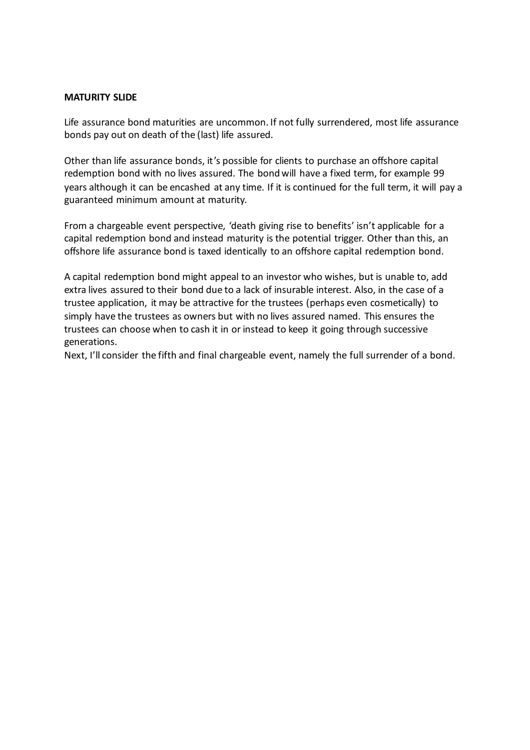### **MATURITY SLIDE**

Life assurance bond maturities are uncommon. If not fully surrendered, most life assurance bonds pay out on death of the (last) life assured.

Other than life assurance bonds, it's possible for clients to purchase an offshore capital redemption bond with no lives assured. The bond will have a fixed term, for example 99 years although it can be encashed at any time. If it is continued for the full term, it will pay a guaranteed minimum amount at maturity.

From a chargeable event perspective, 'death giving rise to benefits' isn't applicable for a capital redemption bond and instead maturity is the potential trigger. Other than this, an offshore life assurance bond is taxed identically to an offshore capital redemption bond.

A capital redemption bond might appeal to an investor who wishes, but is unable to, add extra lives assured to their bond due to a lack of insurable interest. Also, in the case of a trustee application, it may be attractive for the trustees (perhaps even cosmetically) to simply have the trustees as owners but with no lives assured named. This ensures the trustees can choose when to cash it in or instead to keep it going through successive generations.

Next, I'll consider the fifth and final chargeable event, namely the full surrender of a bond.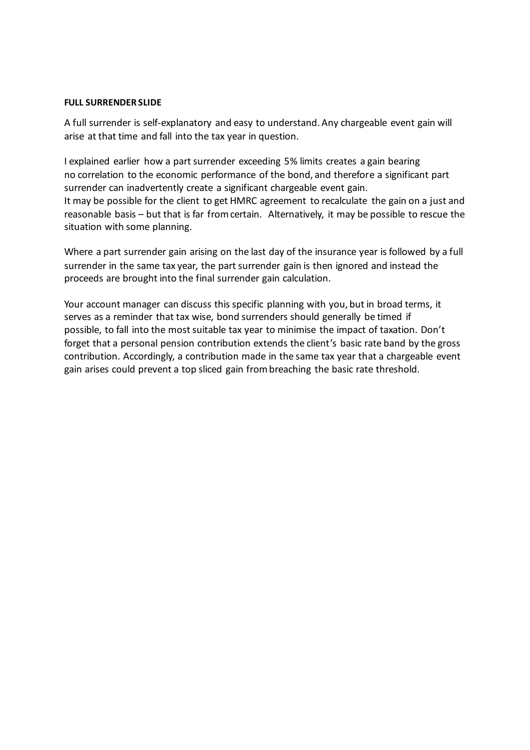#### **FULL SURRENDER SLIDE**

A full surrender is self-explanatory and easy to understand. Any chargeable event gain will arise at that time and fall into the tax year in question.

I explained earlier how a part surrender exceeding 5% limits creates a gain bearing no correlation to the economic performance of the bond, and therefore a significant part surrender can inadvertently create a significant chargeable event gain. It may be possible for the client to get HMRC agreement to recalculate the gain on a just and reasonable basis – but that is far from certain. Alternatively, it may be possible to rescue the situation with some planning.

Where a part surrender gain arising on the last day of the insurance year is followed by a full surrender in the same tax year, the part surrender gain is then ignored and instead the proceeds are brought into the final surrender gain calculation.

Your account manager can discuss this specific planning with you, but in broad terms, it serves as a reminder that tax wise, bond surrenders should generally be timed if possible, to fall into the most suitable tax year to minimise the impact of taxation. Don't forget that a personal pension contribution extends the client's basic rate band by the gross contribution. Accordingly, a contribution made in the same tax year that a chargeable event gain arises could prevent a top sliced gain from breaching the basic rate threshold.